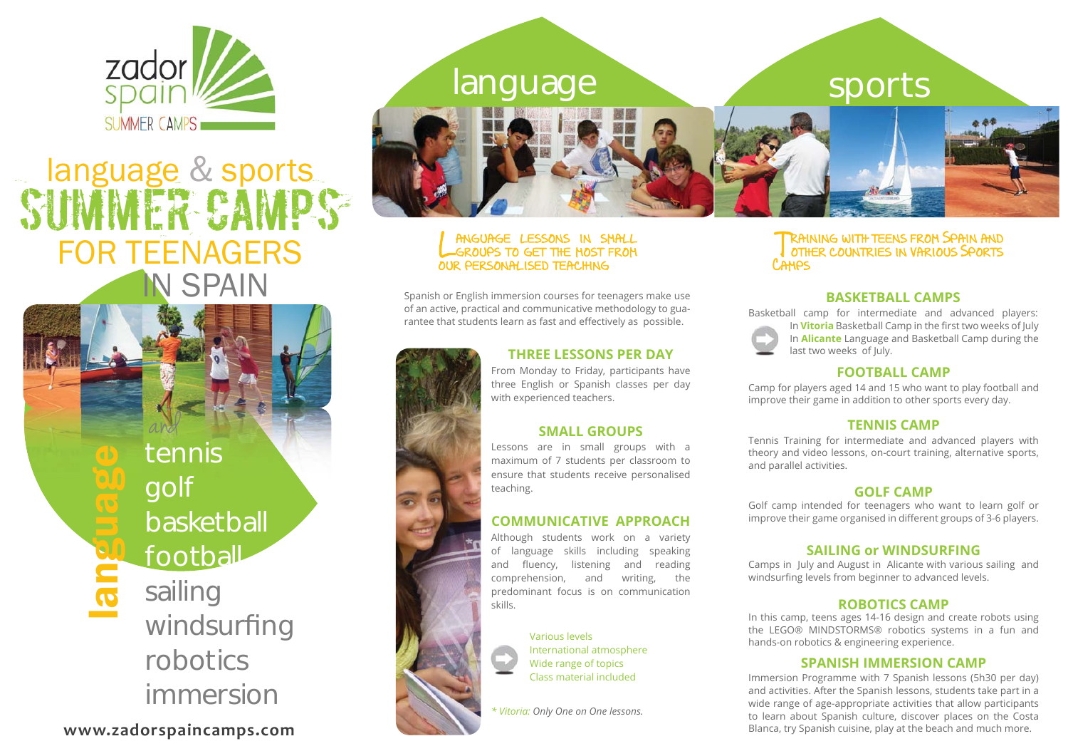

# language &STIMMER CA FOR TEENAGERS**SPAIN**

tennisgolf basketball football sailing windsurfing robotics immersionand

language

**www.zadorspaincamps.com**



#### ANGUAGE LESSONS IN SMALL GUAGE LESSONS IN SMALL OUR PERSONALISED TEACHING

Spanish or English immersion courses for teenagers make use of an active, practical and communicative methodology to guarantee that students learn as fast and effectively as possible.

# **THREE LESSONS PER DAY**

From Monday to Friday, participants have three English or Spanish classes per day with experienced teachers.

# **SMALL GROUPS**

Lessons are in small groups with a maximum of 7 students per classroom to ensure that students receive personalised teaching.

### **COMMUNICATIVE APPROACH**

Although students work on a variety of language skills including speaking and fluency, listening and reading comprehension, and writing, the predominant focus is on communication skills.

> Various levelsInternational atmosphere Wide range of topics Class material included

*\* Vitoria: Only One on One lessons.*

#### TRAINING WITH TEENS FROM SPAIN AND other countries in various Sports ther countries v arious Sports Camps

# **BASKETBALL CAMPS**

Basketball camp for intermediate and advanced players: In **Vitoria** Basketball Camp in the first two weeks of July In **Alicante** Language and Basketball Camp during the last two weeks of July.

#### **FOOTBALL CAMP**

Camp for players aged 14 and 15 who want to play football and improve their game in addition to other sports every day.

#### **TENNIS CAMP**

Tennis Training for intermediate and advanced players with theory and video lessons, on-court training, alternative sports, and parallel activities.

#### **GOLF CAMP**

Golf camp intended for teenagers who want to learn golf or improve their game organised in different groups of 3-6 players.

#### **SAILING or WINDSURFING**

Camps in July and August in Alicante with various sailing and windsurfing levels from beginner to advanced levels.

#### **ROBOTICS CAMP**

In this camp, teens ages 14-16 design and create robots using the LEGO® MINDSTORMS® robotics systems in a fun and hands-on robotics & engineering experience.

#### **SPANISH IMMERSION CAMP**

Immersion Programme with 7 Spanish lessons (5h30 per day) and activities. After the Spanish lessons, students take part in a wide range of age-appropriate activities that allow participants to learn about Spanish culture, discover places on the Costa Blanca, try Spanish cuisine, play at the beach and much more.